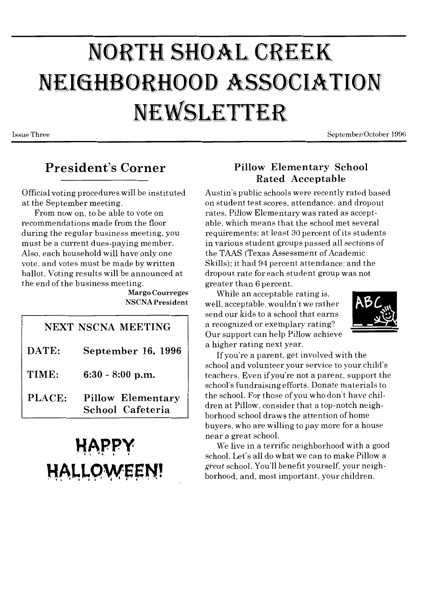# NORTH SHOAL CREEK NEIGHBORHOOD ASSOCIATION NEWSLETTER

Issue Three

September/October 1996

# **President's Corner**

Official voting procedures will be instituted at the September meeting.

From now on, to be able to vote on recommendations made from the floor during the regular business meeting, you must be a current dues-paying member. Also, each household will have only one vote, and votes must be made by written ballot. Voting results will be announced at the end of the business meeting.

Margo Courreges NSCNA President

# NEXT NSCNA MEETING

- DATE: September 16, 1996
- TIME: 6:30 - 8:00 p.m.
- PLACE: Pillow Elementary School Cafeteria

# **HAPPY** HALLOWEEN!

## Pillow Elementary School Rated Acceptable

Austin's public schools were recently rated based on student test scores, attendance, and dropout rates. Pillow Elementary was rated as acceptable, which means that the school met several requirements: at least 30 percent of its students in various student groups passed all sections of the TAAS (Texas Assessment of Academic Skills); it had 94 percent attendance; and the dropout rate for each student group was not greater than 6 percent.

While an acceptable rating is, well, acceptable, wouldn't we rather send our kids to a school that earns a recognized or exemplary rating? Our support can help Pillow achieve a higher rating next year.



Ifyou're a parent, get involved with the school and volunteer your service to your child's teachers. Even if you're not a parent, support the school's fundraising efforts. Donate materials to the school. For those of you who don't have children at Pillow, consider that a top-notch neighborhood school draws the attention of home buyers, who are willing to pay more for a house near a great school.

We live in a terrific neighborhood with a good school. Let's all do what we can to make Pillow a *great* school. You'll benefit yourself, your neighborhood, and, most important, your children.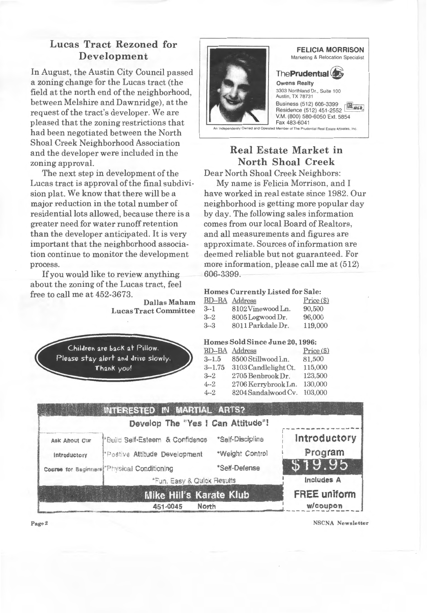## Lucas Tract Rezoned for Development

In August, the Austin City Council passed a zoning change for the Lucas tract (the field at the north end of the neighborhood, between Melshire and Dawnridge), at the request of the tract's developer. We are pleased that the zoning restrictions that had been negotiated between the North Shoal Creek Neighborhood Association and the developer were included in the zoning approval.

The next step in development of the Lucas tract is approval of the final subdivision plat. We know that there will be a major reduction in the total number of residential lots allowed, because there is a greater need for water runoff retention than the developer anticipated. It is very important that the neighborhood association continue to monitor the development process.

If you would like to review anything about the zoning of the Lucas tract, feel free to call me at 452-3673.

> Dallas Maham Lucas Tract Committee

Children are back at Pillow. Please stay alert and drive slowly. Thank you!



## Real Estate Market in North Shoal Creek

Dear North Shoal Creek Neighbors:

My name is Felicia Morrison, and I have worked in real estate since 1982. Our neighborhood is getting more popular day by day. The following sales information comes from our local Board of Realtors, and all measurements and figures are approximate. Sources of information are deemed reliable but not guaranteed. For more information, please call me at (512) 606-3399.

#### Homes Currently Listed for Sale:

|         | <b>BD--BA</b> Address | $Price (\$)$ |
|---------|-----------------------|--------------|
| $3 - 1$ | 8102 Vinewood Ln.     | 90,500       |
| $3 - 2$ | 8005 Logwood Dr.      | 96,000       |
| $3 - 3$ | 8011 Parkdale Dr.     | 119,000      |

#### Homes Sold Since June 20, 1996:

| $\frac{1}{2}$ . Thus because the contract of $\frac{1}{2}$ |                       |              |  |  |
|------------------------------------------------------------|-----------------------|--------------|--|--|
|                                                            | <b>BD--BA</b> Address | $Price (\$)$ |  |  |
| $3 - 1.5$                                                  | 8500 Stillwood Ln.    | 81,500       |  |  |
| $3 - 1.75$                                                 | 3103 Candlelight Ct.  | 115,000      |  |  |
| $3 - 2$                                                    | 2705 Benbrook Dr.     | 123,500      |  |  |
| $4 - 2$                                                    | 2706 Kerrybrook Ln.   | 130,000      |  |  |
| $4 - 2$                                                    | 8204 Sandalwood Cv.   | 103,000      |  |  |
|                                                            |                       |              |  |  |

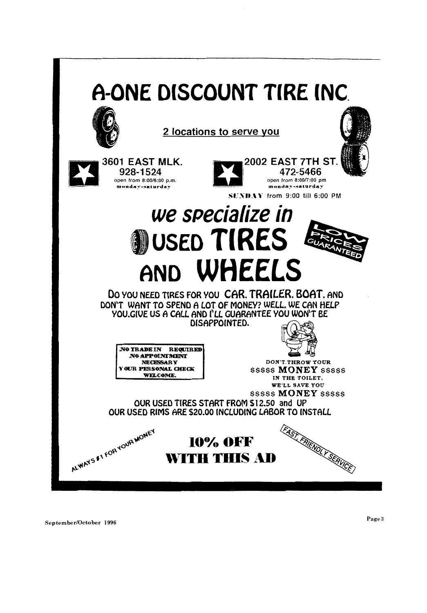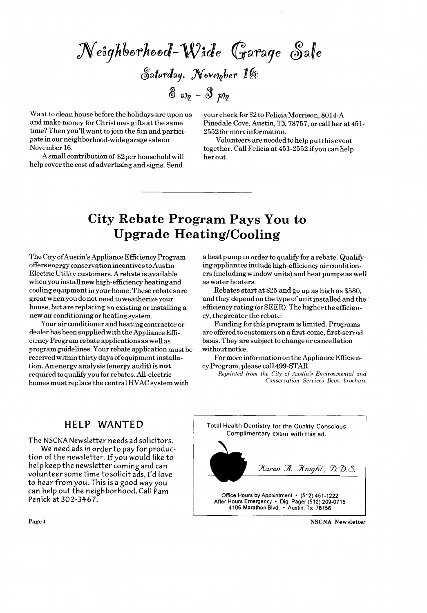$N$ eighberhood- $W$ ide Garage Sale  $S$ alurday, November 16:  $\frac{2}{3}$  am -  $\frac{2}{3}$  pm

Want to clean house before the holidays are upon us and make money for Christmas gifts at the same time? Then you'll want to join the fun and participate in our neighbor hood -wide garage sale on November 16.

A small contribution of \$2 per household will help cover the cost of advertising and signs. Send

your check for \$2 to Felicia Morrison, 8014-A Pinedale Cove, Austin, TX 78757, or call her at 451-2552 for more information.

Volunteers are needed to help put this event together. Call Felicia at 451-2552 if you can help her out.

# **City Rebate Program Pays You to Upgrade Heating/Cooling**

The City of Austin's Appliance Efficiency Program offers energy conservation incentives to Austin Electric Utility customers. A rebate is available when you install new high-efficiency heating and coolingequipmentinyour home. These rebates are great when you do not need to weatherize your house, but are replacing an existing or installing a new air conditioning or heating system.

Your air conditioner and heating contractor or dealer has been supplied with the Appliance Efficiency Program rebate applications as well as program guidelines. Your rebate application must be received within thirty days of equipment installation. An energy analysis (energy audit) is not required to qualify you for rebates. All-electric homes must replace the central HVAC system with

a heat pump in order to qualify for a rebate. Qualifying appliances include high-efficiency air conditioners (including window units) and heat pumps as well as water heaters.

Rebates start at \$25 and go up as high as \$580, and they depend on the type of unit installed and the efficiency rating (or SEER). The higher the efficiency, the greater the rebate.

Funding for this program is limited. Programs are offered to customers on a first-come, first-served basis. They are subject to change or cancellation without notice.

For more information on the Appliance Efficiency Program, please call 499-STAR.

*Reprinted from the City of Austin's Environmental and Conservation Services Dept. brochure* 

### **HELP WANTED**

The NSCNA Newsletter needs ad solicitors.

We need ads in order to pay for production of the newsletter. If *you* would like to help keep the newsletter coming and can volunteer some time to solicit ads, I'd love to hear from *you.* This is a good *way you*  can help out the neighborhood. Call Pam Penick at 302-346 7.

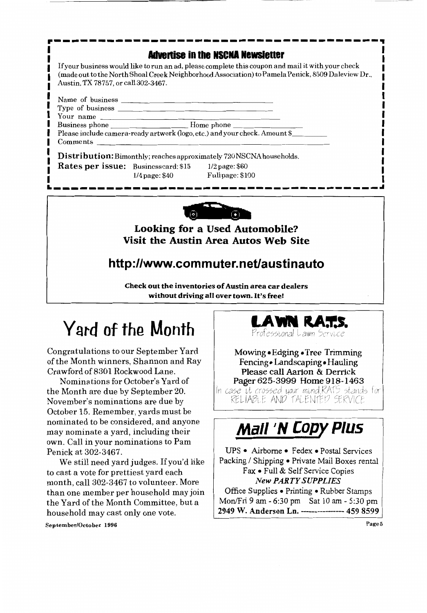# ·-------------------------------------· **ldverlise in the NSCNA NeWSiener**

If your business would like to run an ad, please complete this coupon and mail it with your check (made out to the North Shoal Creek Neighborhood Association) to Pamela Penick, 8509 Daleview Dr., Austin, TX 78757, or call 302-3467.

| $1.1000111, 1.1110101, 0.10011004010101.$  |                  |                                                                             |
|--------------------------------------------|------------------|-----------------------------------------------------------------------------|
|                                            |                  |                                                                             |
|                                            |                  |                                                                             |
| Your name                                  |                  |                                                                             |
|                                            |                  |                                                                             |
|                                            |                  | Please include camera-ready artwork (logo, etc.) and your check. Amount \$  |
| Comments                                   |                  |                                                                             |
|                                            |                  | <b>Distribution:</b> Bimonthly; reaches approximately 720 NSCNA households. |
| <b>Rates per issue:</b> Businesscard: \$15 |                  | $1/2$ page: \$60                                                            |
|                                            | $1/4$ page: \$40 | Fullpage: \$100                                                             |



L-------------------------------------~

## **Looking for a Used Automobile? Visit the Austin Area Autos Web Site**

# **http://www.commuter.net/austinauto**

Check out the inventories of Austin area car dealers without driving all over town. It's free!

# Yard of the Month

Congratulations to our September Yard of the Month winners, Shannon and Ray Crawford of8301 Rockwood Lane.

Nominations for October's Yard of the Month are due by September 20. November's nominations are due by October 15. Remember, yards must be nominated to be considered, and anyone may nominate a yard, including their own. Call in your nominations to Pam Penick at 302-3467.

We still need yard judges. If you'd like to cast a vote for prettiest yard each month, call 302-3467 to volunteer. More than one member per household may join the Yard of the Month Committee, but a household may cast only one vote.



Professwnallawn Scyvlce

Mowing •Edging • Tree Trimming Fencing• Landscaping• Hauling Please call Aarton & Derrick Pager 625-3999 Home 918-1463

In case it crossed your mind.RATS stands for RELIABLE AND TALENTED SERVICE

# **Mall' N Copy Plus**

UPS • Airborne • Fedex • Postal Services Packing / Shipping • Private Mail Boxes rental Fax • Full & Self Service Copies *New PARTY SUPPLIES*  Office Supplies • Printing • Rubber Stamps

Mon/Fri 9 am-6:30pm Sat 10 am-5:30pm 2949 W. Anderson Ln. ----------- 459 8599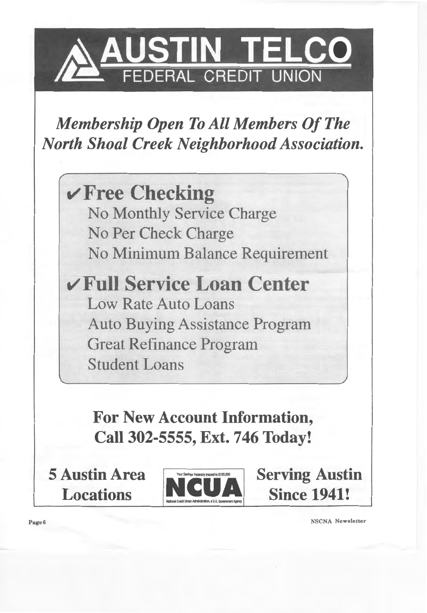

**Membership Open To All Members Of The North Shoal Creek Neighborhood Association.** 

 $\sqrt{F}$ ree Checking **No Monthly Service Charge** No Per Check Charge No Minimum Balance Requirement

**∠Full Service Loan Center Low Rate Auto Loans Auto Buying Assistance Program Great Refinance Program Student Loans** 

> For New Account Information, Call 302-5555, Ext. 746 Today!

**5 Austin Area Locations** 



**Serving Austin Since 1941!**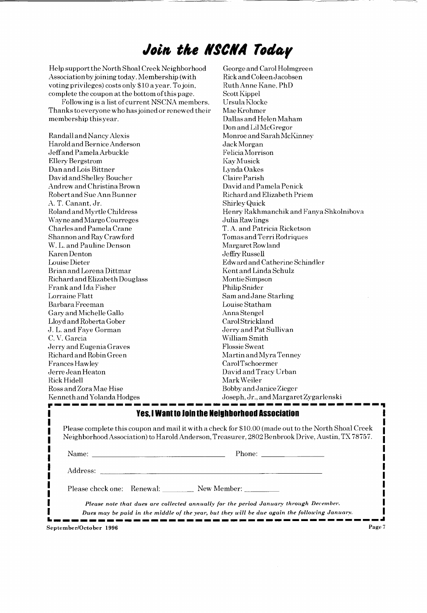# Join the NSCNA Today

Help support the North Shoal Creek Neighborhood Association by joining today. Membership (with voting privileges) costs only \$10 a year. To join, complete the coupon at the bottom of this page.

Following is a list of current NSCNA members. Thanks to everyone who has joined or renewed their membership this year.

Randall and Nancy Alexis Harold and Bernice Anderson Jeffand Pamela Arbuckle Ellery Bergstrom Dan and Lois Bittner David and Shelley Boucher Andrew and Christina Brown Robert and Sue Ann Bunner A. T. Canant, Jr. Roland and Myrtle Childress Wayne and Margo Courreges Charles and Pamela Crane Shannon and Ray Crawford W. L. and Pauline Denson Karen Denton Louise Dieter Brian and Lorena Dittmar Richard and Elizabeth Douglass Frank and Ida Fisher Lorraine Flatt Barbara Freeman Gary and Michelle Gallo Lloyd and Roberta Gober J. L. and Faye Gorman C.V. Garcia Jerry and Eugenia Graves Richard and Robin Green Frances Hawley Jerre Jean Heaton **Rick Hidell** Ross and Zora Mae Hise Kenneth and Yolanda Hodges

George and Carol Holmgreen Rick and Coleen Jacobsen Ruth Anne Kane, PhD Scott Kippel Ursula Klocke Mae Krohmer Dallas and Helen Maham Don and Lil McGregor Monroe and Sarah McKinney Jack Morgan Felicia Morrison Kay Musick Lynda Oakes Claire Parish David and Pamela Penick Richard and Elizabeth Priem Shirley Quick Henry Rakhmanchik and Fanya Shkolnibova Julia Rawlings T. A. and Patricia Ricketson Tomas and Terri Rodriques Margaret Rowland Jeffry Russell Edward and Catherine Schindler Kent and Linda Schulz Montie Simpson Philip Snider Sam and Jane Starling Louise Statham Anna Stengel CarolStrickland Jerry and Pat Sullivan William Smith **Flossie Sweat** Martin and Myra Tenney CarolTschoermer David and Tracy Urban Mark Weiler Bobby and Janice Zieger Joseph, Jr., and Margaret Zygarlenski

#### **Yes. I Want to Join the Neighborhood Association**

Please complete this coupon and mail it with a check for \$10.00 (made out to the North Shoal Creek Neighborhood Association) to Harold Anderson, Treasurer, 2802 Benbrook Drive, Austin, TX 78757.

| Please check one: Renewal: New Member: |                                                                                                                                                                                        |
|----------------------------------------|----------------------------------------------------------------------------------------------------------------------------------------------------------------------------------------|
|                                        | Please note that dues are collected annually for the period January through December.<br>Dues may be paid in the middle of the year, but they will be due again the following January. |

ı